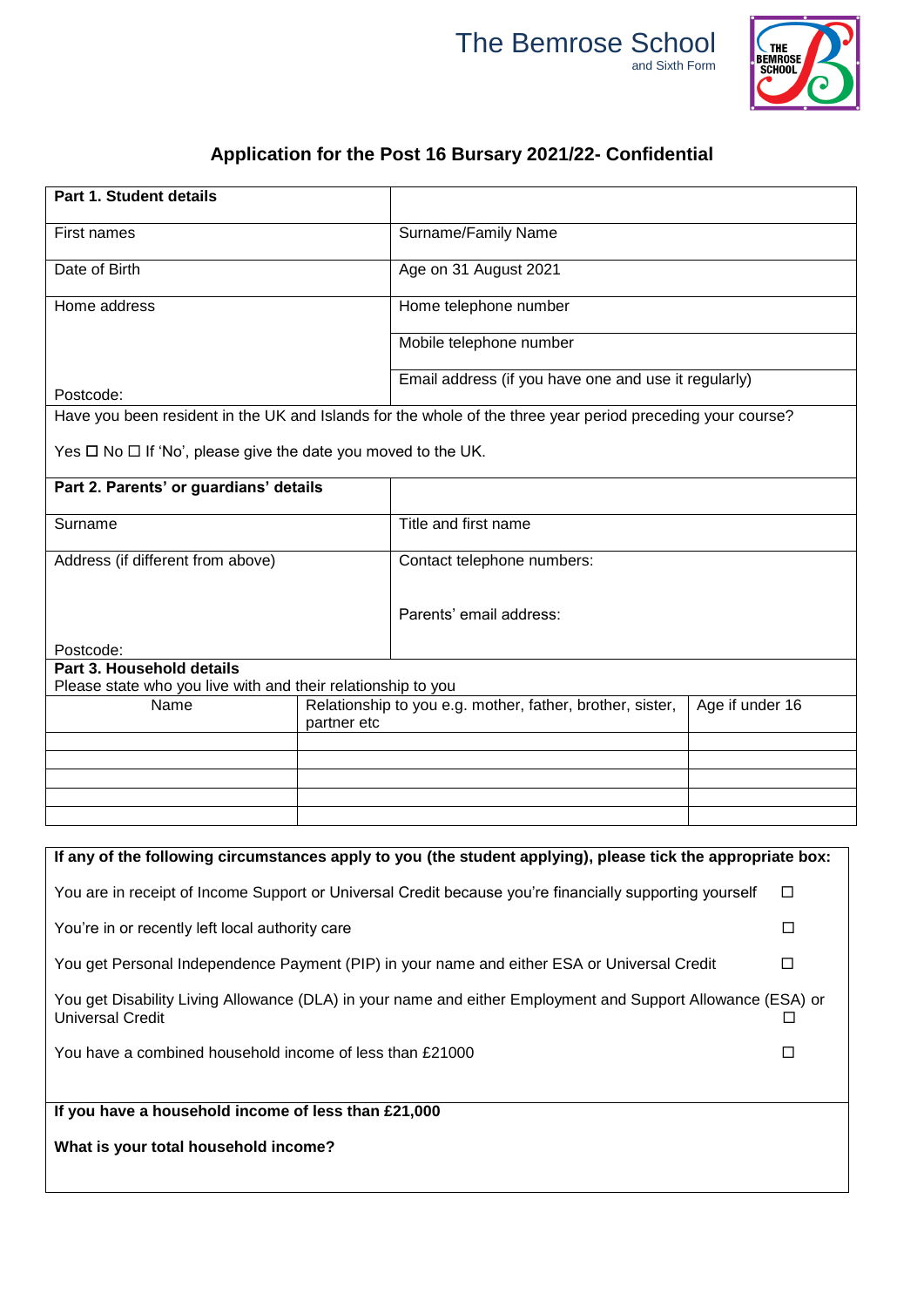



┑

## **Application for the Post 16 Bursary 2021/22- Confidential**

| Part 1. Student details                                                                                      |  |                                                                                                            |                 |  |
|--------------------------------------------------------------------------------------------------------------|--|------------------------------------------------------------------------------------------------------------|-----------------|--|
| <b>First names</b>                                                                                           |  | Surname/Family Name                                                                                        |                 |  |
| Date of Birth                                                                                                |  | Age on 31 August 2021                                                                                      |                 |  |
| Home address                                                                                                 |  | Home telephone number                                                                                      |                 |  |
|                                                                                                              |  | Mobile telephone number                                                                                    |                 |  |
| Postcode:                                                                                                    |  | Email address (if you have one and use it regularly)                                                       |                 |  |
|                                                                                                              |  | Have you been resident in the UK and Islands for the whole of the three year period preceding your course? |                 |  |
| Yes $\square$ No $\square$ If 'No', please give the date you moved to the UK.                                |  |                                                                                                            |                 |  |
| Part 2. Parents' or guardians' details                                                                       |  |                                                                                                            |                 |  |
| Surname                                                                                                      |  | Title and first name                                                                                       |                 |  |
| Address (if different from above)                                                                            |  | Contact telephone numbers:                                                                                 |                 |  |
| Postcode:                                                                                                    |  | Parents' email address:                                                                                    |                 |  |
| Part 3. Household details                                                                                    |  |                                                                                                            |                 |  |
| Please state who you live with and their relationship to you<br>Name<br>partner etc                          |  | Relationship to you e.g. mother, father, brother, sister,                                                  | Age if under 16 |  |
|                                                                                                              |  |                                                                                                            |                 |  |
|                                                                                                              |  |                                                                                                            |                 |  |
|                                                                                                              |  |                                                                                                            |                 |  |
| If any of the following circumstances apply to you (the student applying), please tick the appropriate box:  |  |                                                                                                            |                 |  |
| You are in receipt of Income Support or Universal Credit because you're financially supporting yourself<br>□ |  |                                                                                                            |                 |  |
| You're in or recently left local authority care                                                              |  |                                                                                                            | □               |  |
|                                                                                                              |  | You get Personal Independence Payment (PIP) in your name and either ESA or Universal Credit                | $\Box$          |  |
| You get Disability Living Allowance (DLA) in your name and either Employment and Support Allowance (ESA) or  |  |                                                                                                            |                 |  |
| <b>Universal Credit</b>                                                                                      |  |                                                                                                            | U               |  |
| You have a combined household income of less than £21000                                                     |  |                                                                                                            | □               |  |
|                                                                                                              |  |                                                                                                            |                 |  |
| If you have a household income of less than £21,000                                                          |  |                                                                                                            |                 |  |

**What is your total household income?**